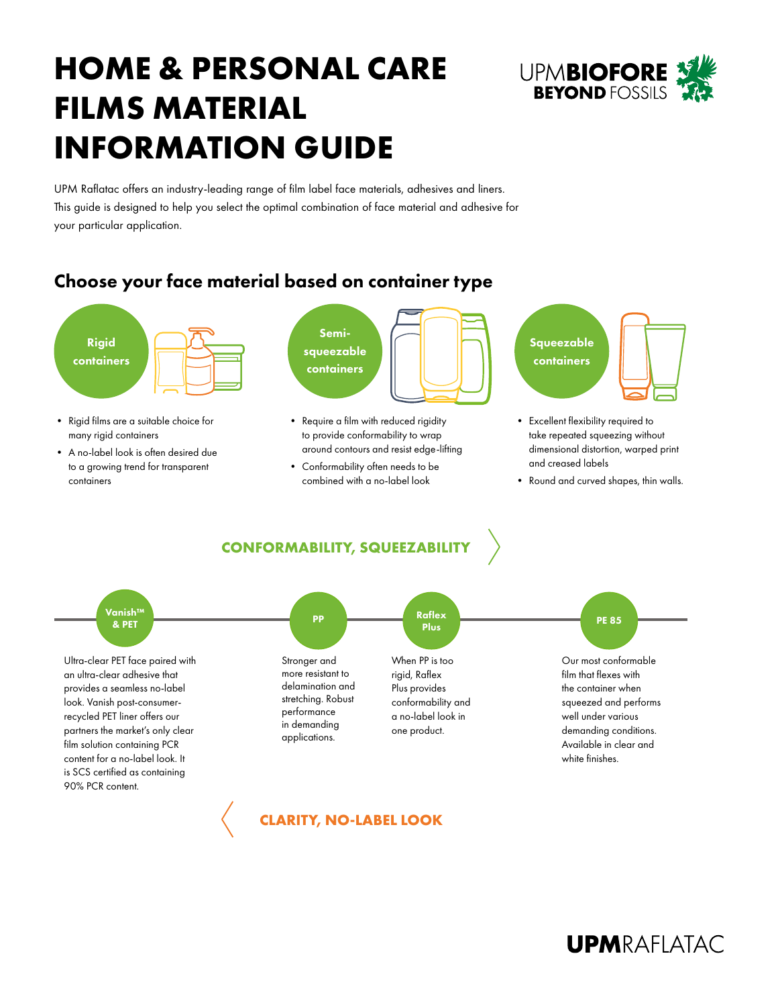# **HOME & PERSONAL CARE FILMS MATERIAL INFORMATION GUIDE**



UPM Raflatac offers an industry-leading range of film label face materials, adhesives and liners. This guide is designed to help you select the optimal combination of face material and adhesive for your particular application.

## Choose your face material based on container type



- Rigid films are a suitable choice for many rigid containers
- A no-label look is often desired due to a growing trend for transparent containers



- Require a film with reduced rigidity to provide conformability to wrap around contours and resist edge-lifting
- Conformability often needs to be combined with a no-label look



- Excellent flexibility required to take repeated squeezing without dimensional distortion, warped print and creased labels
- Round and curved shapes, thin walls.

### **CONFORMABILITY, SQUEEZABILITY**



**CLARITY, NO-LABEL LOOK**

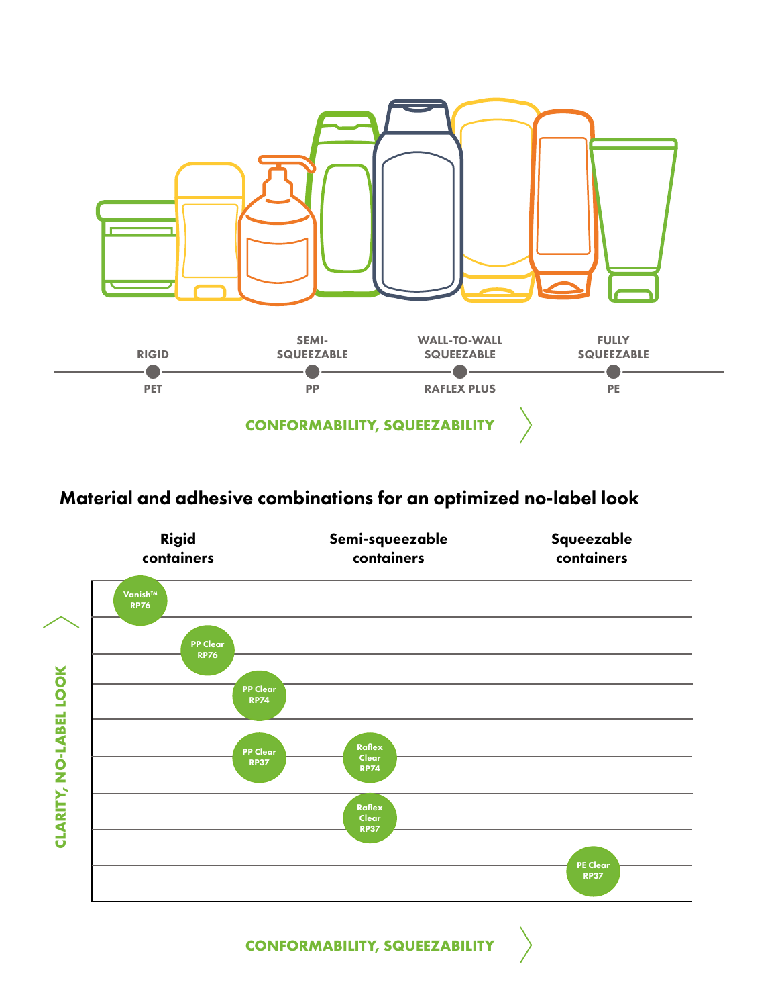

## Material and adhesive combinations for an optimized no-label look

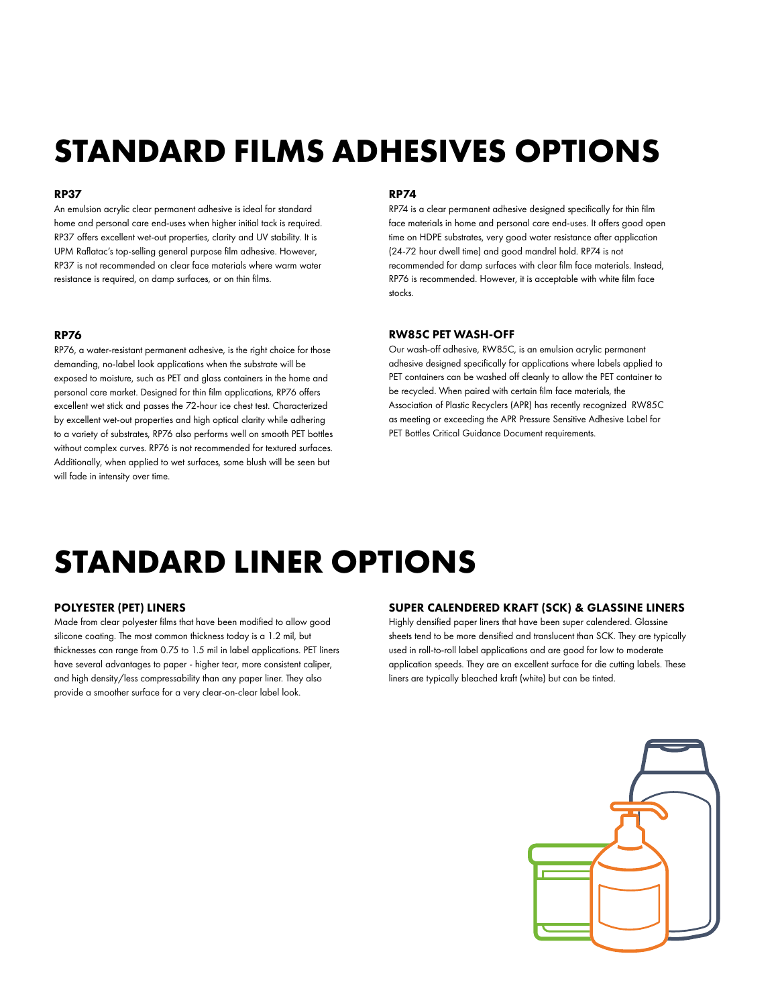# **STANDARD FILMS ADHESIVES OPTIONS**

#### RP37

An emulsion acrylic clear permanent adhesive is ideal for standard home and personal care end-uses when higher initial tack is required. RP37 offers excellent wet-out properties, clarity and UV stability. It is UPM Raflatac's top-selling general purpose film adhesive. However, RP37 is not recommended on clear face materials where warm water resistance is required, on damp surfaces, or on thin films.

### RP76

RP76, a water-resistant permanent adhesive, is the right choice for those demanding, no-label look applications when the substrate will be exposed to moisture, such as PET and glass containers in the home and personal care market. Designed for thin film applications, RP76 offers excellent wet stick and passes the 72-hour ice chest test. Characterized by excellent wet-out properties and high optical clarity while adhering to a variety of substrates, RP76 also performs well on smooth PET bottles without complex curves. RP76 is not recommended for textured surfaces. Additionally, when applied to wet surfaces, some blush will be seen but will fade in intensity over time.

#### RP74

RP74 is a clear permanent adhesive designed specifically for thin film face materials in home and personal care end-uses. It offers good open time on HDPE substrates, very good water resistance after application (24-72 hour dwell time) and good mandrel hold. RP74 is not recommended for damp surfaces with clear film face materials. Instead, RP76 is recommended. However, it is acceptable with white film face stocks.

#### RW85C PET WASH-OFF

Our wash-off adhesive, RW85C, is an emulsion acrylic permanent adhesive designed specifically for applications where labels applied to PET containers can be washed off cleanly to allow the PET container to be recycled. When paired with certain film face materials, the Association of Plastic Recyclers (APR) has recently recognized RW85C as meeting or exceeding the APR Pressure Sensitive Adhesive Label for PET Bottles Critical Guidance Document requirements.

## **STANDARD LINER OPTIONS**

### POLYESTER (PET) LINERS

Made from clear polyester films that have been modified to allow good silicone coating. The most common thickness today is a 1.2 mil, but thicknesses can range from 0.75 to 1.5 mil in label applications. PET liners have several advantages to paper - higher tear, more consistent caliper, and high density/less compressability than any paper liner. They also provide a smoother surface for a very clear-on-clear label look.

### SUPER CALENDERED KRAFT (SCK) & GLASSINE LINERS

Highly densified paper liners that have been super calendered. Glassine sheets tend to be more densified and translucent than SCK. They are typically used in roll-to-roll label applications and are good for low to moderate application speeds. They are an excellent surface for die cutting labels. These liners are typically bleached kraft (white) but can be tinted.